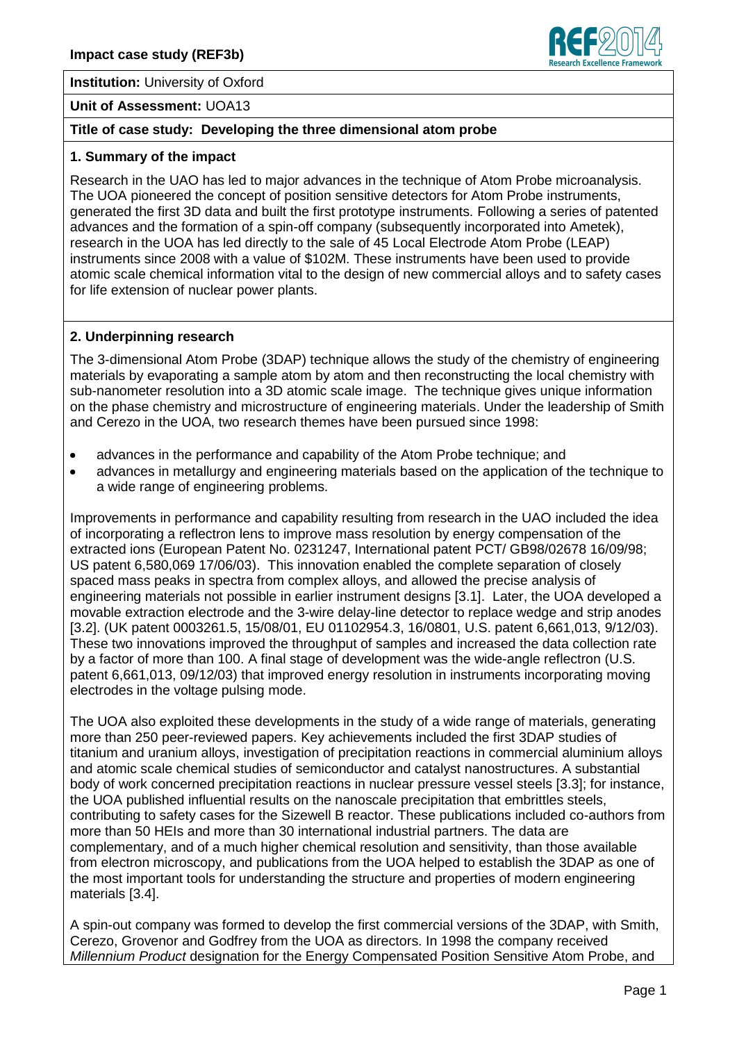



#### **Unit of Assessment:** UOA13

# **Title of case study: Developing the three dimensional atom probe**

#### **1. Summary of the impact**

Research in the UAO has led to major advances in the technique of Atom Probe microanalysis. The UOA pioneered the concept of position sensitive detectors for Atom Probe instruments, generated the first 3D data and built the first prototype instruments. Following a series of patented advances and the formation of a spin-off company (subsequently incorporated into Ametek), research in the UOA has led directly to the sale of 45 Local Electrode Atom Probe (LEAP) instruments since 2008 with a value of \$102M. These instruments have been used to provide atomic scale chemical information vital to the design of new commercial alloys and to safety cases for life extension of nuclear power plants.

# **2. Underpinning research**

The 3-dimensional Atom Probe (3DAP) technique allows the study of the chemistry of engineering materials by evaporating a sample atom by atom and then reconstructing the local chemistry with sub-nanometer resolution into a 3D atomic scale image. The technique gives unique information on the phase chemistry and microstructure of engineering materials. Under the leadership of Smith and Cerezo in the UOA, two research themes have been pursued since 1998:

- advances in the performance and capability of the Atom Probe technique; and  $\bullet$
- advances in metallurgy and engineering materials based on the application of the technique to a wide range of engineering problems.

Improvements in performance and capability resulting from research in the UAO included the idea of incorporating a reflectron lens to improve mass resolution by energy compensation of the extracted ions (European Patent No. 0231247, International patent PCT/ GB98/02678 16/09/98; US patent 6,580,069 17/06/03). This innovation enabled the complete separation of closely spaced mass peaks in spectra from complex alloys, and allowed the precise analysis of engineering materials not possible in earlier instrument designs [3.1]. Later, the UOA developed a movable extraction electrode and the 3-wire delay-line detector to replace wedge and strip anodes [3.2]. (UK patent 0003261.5, 15/08/01, EU 01102954.3, 16/0801, U.S. patent 6,661,013, 9/12/03). These two innovations improved the throughput of samples and increased the data collection rate by a factor of more than 100. A final stage of development was the wide-angle reflectron (U.S. patent 6,661,013, 09/12/03) that improved energy resolution in instruments incorporating moving electrodes in the voltage pulsing mode.

The UOA also exploited these developments in the study of a wide range of materials, generating more than 250 peer-reviewed papers. Key achievements included the first 3DAP studies of titanium and uranium alloys, investigation of precipitation reactions in commercial aluminium alloys and atomic scale chemical studies of semiconductor and catalyst nanostructures. A substantial body of work concerned precipitation reactions in nuclear pressure vessel steels [3.3]; for instance, the UOA published influential results on the nanoscale precipitation that embrittles steels, contributing to safety cases for the Sizewell B reactor. These publications included co-authors from more than 50 HEIs and more than 30 international industrial partners. The data are complementary, and of a much higher chemical resolution and sensitivity, than those available from electron microscopy, and publications from the UOA helped to establish the 3DAP as one of the most important tools for understanding the structure and properties of modern engineering materials [3.4].

A spin-out company was formed to develop the first commercial versions of the 3DAP, with Smith, Cerezo, Grovenor and Godfrey from the UOA as directors. In 1998 the company received *Millennium Product* designation for the Energy Compensated Position Sensitive Atom Probe, and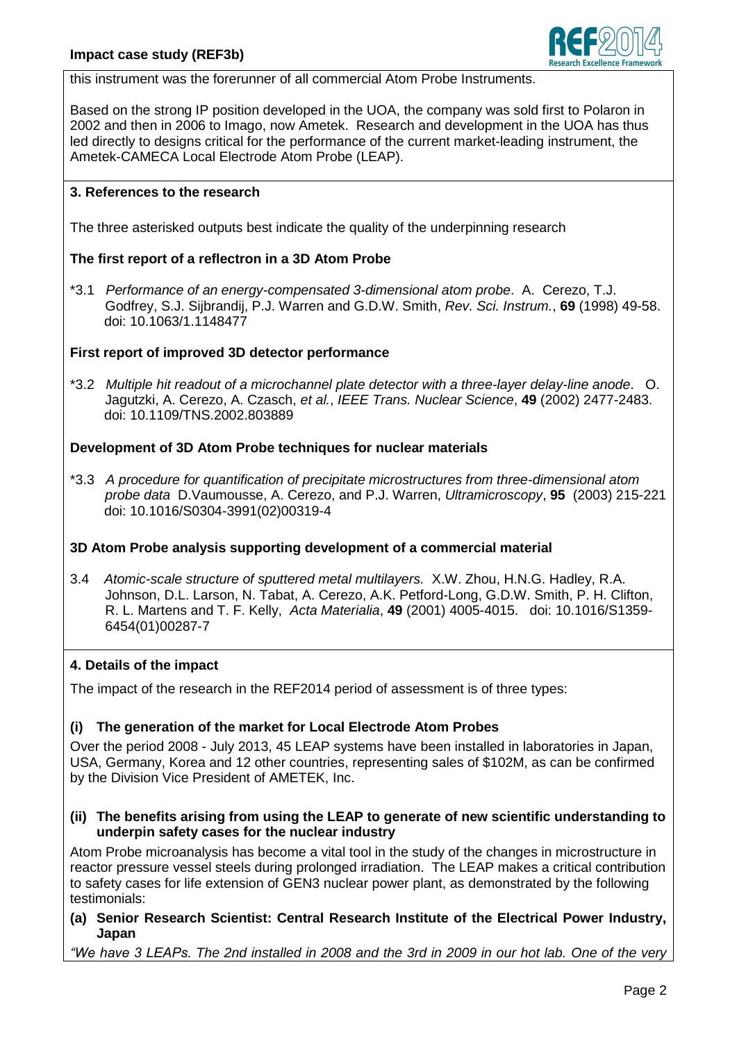

this instrument was the forerunner of all commercial Atom Probe Instruments.

Based on the strong IP position developed in the UOA, the company was sold first to Polaron in 2002 and then in 2006 to Imago, now Ametek. Research and development in the UOA has thus led directly to designs critical for the performance of the current market-leading instrument, the Ametek-CAMECA Local Electrode Atom Probe (LEAP).

### **3. References to the research**

The three asterisked outputs best indicate the quality of the underpinning research

# **The first report of a reflectron in a 3D Atom Probe**

\*3.1 *Performance of an energy-compensated 3-dimensional atom probe*. A. Cerezo, T.J. Godfrey, S.J. Sijbrandij, P.J. Warren and G.D.W. Smith, *Rev. Sci. Instrum.*, **69** (1998) 49-58. doi: [10.1063/1.1148477](file:///C:/Documents%20and%20Settings/sann0293.OUMS-CHRIS3/Local%20Settings/Temporary%20Internet%20Files/Content.Outlook/21PVUYEW/doi%2010.1063/1.1148477)

### **First report of improved 3D detector performance**

\*3.2 *[Multiple hit readout of a microchannel plate detector with a three-layer delay-line anode](http://apps.webofknowledge.com/full_record.do?product=WOS&search_mode=AuthorFinder&qid=3&SID=T1PsnH2Dcje2YtjxPm7&page=7&doc=66)*. O. Jagutzki, A. Cerezo, A. Czasch, *et al.*, *IEEE Trans. Nuclear Science*, **49** (2002) 2477-2483. doi: [10.1109/TNS.2002.803889](http://dx.doi.org/10.1109/TNS.2002.803889)

# **Development of 3D Atom Probe techniques for nuclear materials**

\*3.3 *A [procedure for quantification of precipitate microstructures from three-dimensional atom](http://apps.webofknowledge.com/full_record.do?product=WOS&search_mode=AuthorFinder&qid=1&SID=Q1pJBEmBGnvdjQEcnko&page=7&doc=63)  [probe data](http://apps.webofknowledge.com/full_record.do?product=WOS&search_mode=AuthorFinder&qid=1&SID=Q1pJBEmBGnvdjQEcnko&page=7&doc=63)* D.Vaumousse, A. Cerezo, and P.J. Warren, *Ultramicroscopy*, **95** (2003) 215-221 doi: [10.1016/S0304-3991\(02\)00319-4](doi:%2010.1016/S0304-3991(02)00319-4)

### **3D Atom Probe analysis supporting development of a commercial material**

3.4 *Atomic-scale structure of sputtered metal multilayers.* X.W. Zhou, H.N.G. Hadley, R.A. Johnson, D.L. Larson, N. Tabat, A. Cerezo, A.K. Petford-Long, G.D.W. Smith, P. H. Clifton, R. L. Martens and T. F. Kelly, *Acta Materialia*, **49** (2001) 4005-4015. doi: [10.1016/S1359-](file:///C:/Documents%20and%20Settings/sann0293.OUMS-CHRIS3/Local%20Settings/Temporary%20Internet%20Files/Content.Outlook/21PVUYEW/doi.org/10.1016/S1359-6454(01)00287-7) [6454\(01\)00287-7](file:///C:/Documents%20and%20Settings/sann0293.OUMS-CHRIS3/Local%20Settings/Temporary%20Internet%20Files/Content.Outlook/21PVUYEW/doi.org/10.1016/S1359-6454(01)00287-7)

### **4. Details of the impact**

The impact of the research in the REF2014 period of assessment is of three types:

### **(i) The generation of the market for Local Electrode Atom Probes**

Over the period 2008 - July 2013, 45 LEAP systems have been installed in laboratories in Japan, USA, Germany, Korea and 12 other countries, representing sales of \$102M, as can be confirmed by the Division Vice President of AMETEK, Inc.

### **(ii) The benefits arising from using the LEAP to generate of new scientific understanding to underpin safety cases for the nuclear industry**

Atom Probe microanalysis has become a vital tool in the study of the changes in microstructure in reactor pressure vessel steels during prolonged irradiation. The LEAP makes a critical contribution to safety cases for life extension of GEN3 nuclear power plant, as demonstrated by the following testimonials:

# **(a) Senior Research Scientist: Central Research Institute of the Electrical Power Industry, Japan**

*"We have 3 LEAPs. The 2nd installed in 2008 and the 3rd in 2009 in our hot lab. One of the very*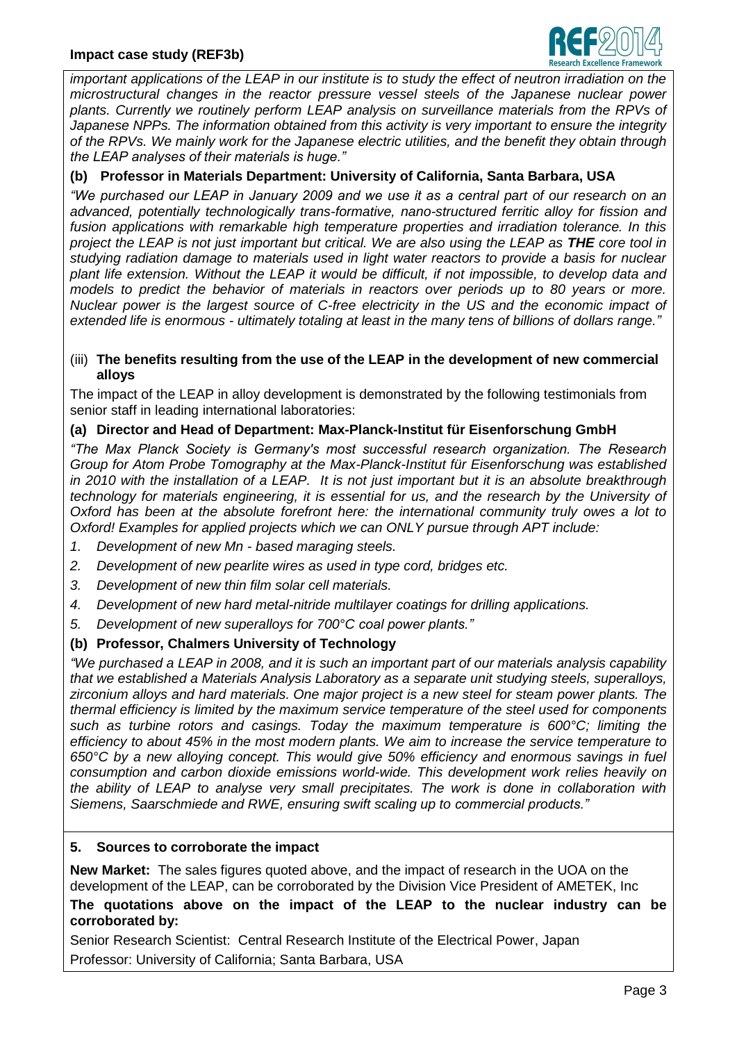

*important applications of the LEAP in our institute is to study the effect of neutron irradiation on the microstructural changes in the reactor pressure vessel steels of the Japanese nuclear power plants. Currently we routinely perform LEAP analysis on surveillance materials from the RPVs of*  Japanese NPPs. The information obtained from this activity is very important to ensure the integrity *of the RPVs. We mainly work for the Japanese electric utilities, and the benefit they obtain through the LEAP analyses of their materials is huge."*

# **(b) Professor in Materials Department: University of California, Santa Barbara, USA**

*"We purchased our LEAP in January 2009 and we use it as a central part of our research on an advanced, potentially technologically trans-formative, nano-structured ferritic alloy for fission and fusion applications with remarkable high temperature properties and irradiation tolerance. In this project the LEAP is not just important but critical. We are also using the LEAP as THE core tool in studying radiation damage to materials used in light water reactors to provide a basis for nuclear plant life extension. Without the LEAP it would be difficult, if not impossible, to develop data and models to predict the behavior of materials in reactors over periods up to 80 years or more. Nuclear power is the largest source of C-free electricity in the US and the economic impact of extended life is enormous - ultimately totaling at least in the many tens of billions of dollars range."*

#### (iii) **The benefits resulting from the use of the LEAP in the development of new commercial alloys**

The impact of the LEAP in alloy development is demonstrated by the following testimonials from senior staff in leading international laboratories:

### **(a) Director and Head of Department: Max-Planck-Institut für Eisenforschung GmbH**

*"The Max Planck Society is Germany's most successful research organization. The Research Group for Atom Probe Tomography at the Max-Planck-Institut für Eisenforschung was established in 2010 with the installation of a LEAP. It is not just important but it is an absolute breakthrough technology for materials engineering, it is essential for us, and the research by the University of Oxford has been at the absolute forefront here: the international community truly owes a lot to Oxford! Examples for applied projects which we can ONLY pursue through APT include:*

- *1. Development of new Mn - based maraging steels.*
- *2. Development of new pearlite wires as used in type cord, bridges etc.*
- *3. Development of new thin film solar cell materials.*
- *4. Development of new hard metal-nitride multilayer coatings for drilling applications.*
- *5. Development of new superalloys for 700°C coal power plants."*

### **(b) Professor, Chalmers University of Technology**

*"We purchased a LEAP in 2008, and it is such an important part of our materials analysis capability that we established a Materials Analysis Laboratory as a separate unit studying steels, superalloys, zirconium alloys and hard materials. One major project is a new steel for steam power plants. The thermal efficiency is limited by the maximum service temperature of the steel used for components such as turbine rotors and casings. Today the maximum temperature is 600°C; limiting the efficiency to about 45% in the most modern plants. We aim to increase the service temperature to 650°C by a new alloying concept. This would give 50% efficiency and enormous savings in fuel consumption and carbon dioxide emissions world-wide. This development work relies heavily on the ability of LEAP to analyse very small precipitates. The work is done in collaboration with Siemens, Saarschmiede and RWE, ensuring swift scaling up to commercial products."*

#### **5. Sources to corroborate the impact**

**New Market:** The sales figures quoted above, and the impact of research in the UOA on the development of the LEAP, can be corroborated by the Division Vice President of AMETEK, Inc

### **The quotations above on the impact of the LEAP to the nuclear industry can be corroborated by:**

Senior Research Scientist: Central Research Institute of the Electrical Power, Japan Professor: University of California; Santa Barbara, USA